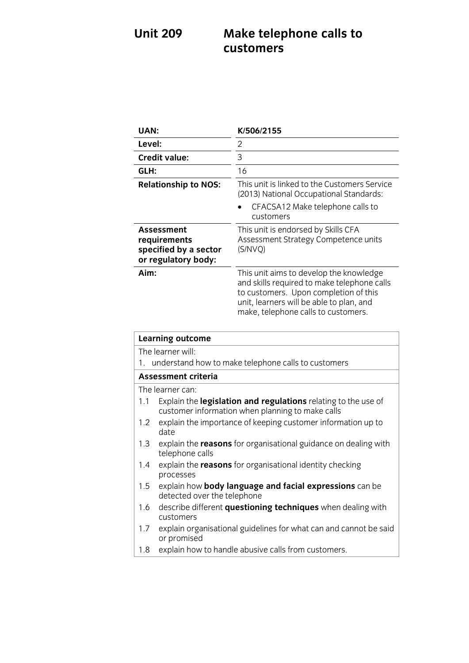## **Unit 209 Make telephone calls to customers**

| <b>UAN:</b>                                            |                                                                                                                                                                                                        | K/506/2155                                                                                                                                                                                                         |
|--------------------------------------------------------|--------------------------------------------------------------------------------------------------------------------------------------------------------------------------------------------------------|--------------------------------------------------------------------------------------------------------------------------------------------------------------------------------------------------------------------|
| Level:                                                 |                                                                                                                                                                                                        | $\overline{2}$                                                                                                                                                                                                     |
|                                                        | <b>Credit value:</b>                                                                                                                                                                                   | 3                                                                                                                                                                                                                  |
| GLH:                                                   |                                                                                                                                                                                                        | 16                                                                                                                                                                                                                 |
|                                                        | <b>Relationship to NOS:</b>                                                                                                                                                                            | This unit is linked to the Customers Service<br>(2013) National Occupational Standards:<br>CFACSA12 Make telephone calls to<br>customers                                                                           |
|                                                        | Assessment<br>requirements<br>specified by a sector<br>or regulatory body:                                                                                                                             | This unit is endorsed by Skills CFA<br>Assessment Strategy Competence units<br>(S/NVQ)                                                                                                                             |
| Aim:                                                   |                                                                                                                                                                                                        | This unit aims to develop the knowledge<br>and skills required to make telephone calls<br>to customers. Upon completion of this<br>unit, learners will be able to plan, and<br>make, telephone calls to customers. |
| <b>Learning outcome</b>                                |                                                                                                                                                                                                        |                                                                                                                                                                                                                    |
| The learner will:                                      |                                                                                                                                                                                                        |                                                                                                                                                                                                                    |
| 1. understand how to make telephone calls to customers |                                                                                                                                                                                                        |                                                                                                                                                                                                                    |
| <b>Assessment criteria</b>                             |                                                                                                                                                                                                        |                                                                                                                                                                                                                    |
| 1.1<br>1.2                                             | The learner can:<br>Explain the legislation and regulations relating to the use of<br>customer information when planning to make calls<br>explain the importance of keeping customer information up to |                                                                                                                                                                                                                    |
|                                                        | date                                                                                                                                                                                                   |                                                                                                                                                                                                                    |
| 1.3                                                    | explain the <b>reasons</b> for organisational guidance on dealing with<br>telephone calls                                                                                                              |                                                                                                                                                                                                                    |
| 1.4                                                    | explain the reasons for organisational identity checking<br>processes                                                                                                                                  |                                                                                                                                                                                                                    |
| 1.5                                                    | explain how body language and facial expressions can be<br>detected over the telephone                                                                                                                 |                                                                                                                                                                                                                    |
| 16                                                     | doccribo difforant questioning techniques whan doaling with                                                                                                                                            |                                                                                                                                                                                                                    |

- 1.6 describe different **questioning techniques** when dealing with
- customers 1.7 explain organisational guidelines for what can and cannot be said.<br>Or promised
- ovnlain how 1.8 explain how to handle abusive calls from customers.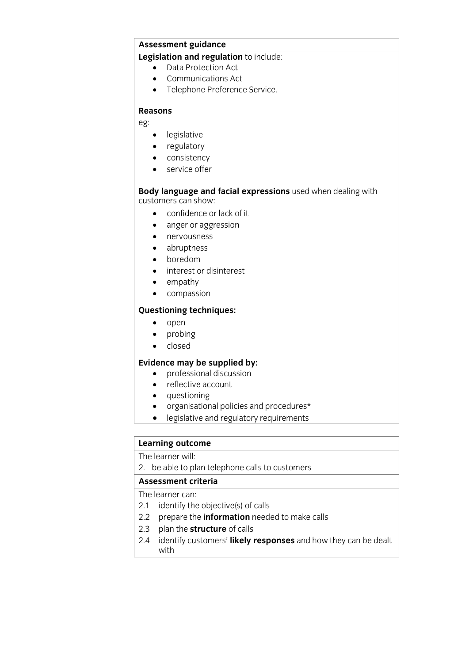# **Assessment guidance<br>
Legislation and regulation** to include:

- **Legislation Act**<br> **Legislation Act**<br> **Legislation** Act
	- Communications Act
	- Telephone Preference Service.

### **Reasons**

**Reasons**  $\ddot{\phantom{0}}$ 

- legislative
- regulatory
- consistency
- service offer

## **Body language and facial expressions** used when dealing with

- confidence or lack of it
	- anger or aggression
	- nervousness
	- abruptness
	- boredom
	- interest or disinterest
	- empathy
	- compassion

### **Questioning techniques:**

- $\bullet$  open
- probing
- closed

- **Existence may** be supplied by:<br> **e** professional discussion
	- reflective account
	- questioning
	- organisational policies and procedures\*
	- **•** legislative and regulatory requirements

## **Learning outcome**<br>The learner will:

2. be able to plan telephone calls to customers

### Assessment criteria

The learner can:

- 2.1 identify the objective(s) of calls
- 2.2 prepare the **information** needed to make calls
- 2.3 plan the **structure** of calls
- 2.4 **plantify customers' likely** 2.4 identify customers' **likely responses** and how they can be dealt  $\equiv$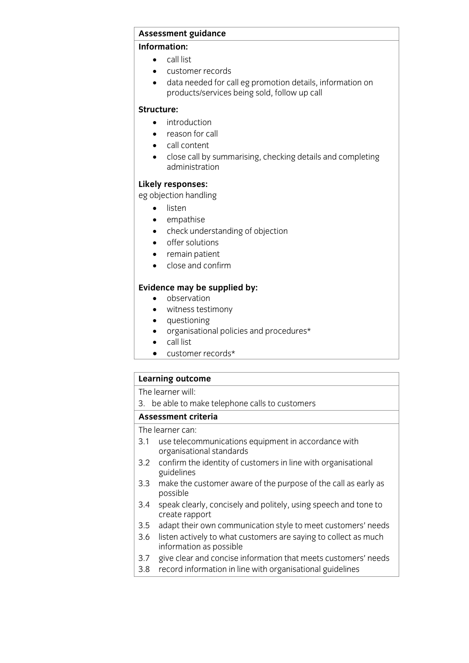## **Assessment guidance**

- **I** call list
	- customer records<br>• data needed for ca
	- data needed for call eg promotion details, information on products/services being sold, follow up call

- introduction<br>■ introduction
	- reason for call
	- call content<br>• close call by
	- close call by summarising, checking details and completing administration

**Likely responses:** eg objection handling

- listen<br>• emna
- $\bullet$  empathise
- check understanding of objection<br>• offer solutions
- offer solutions
- remain patient<br>• close and confi
- close and confirm

- **Evidence may be supplied by:**<br> **o** observation
	- witness testimony
	- questioning
	- organisational policies and procedures\*<br>• call list
	- call list<br>• custom
	- customer records\*

# **Learning outcome**<br>The learner will:

3. be able to make telephone calls to customers

### Assessment criteria

The learner can:

- 3.1 use telecommunications equipment in accordance with organisational standards
- confirm the identity of customers in line with organisational 3.2 confirm the<br>guidelines
- gundunde<br>make the 4 3.3 make the customer aware of the purpose of the call as early as possible<br>speak clearly, concisely and politely, using speech and tone to
- 3.4 speak clearly, concepts and politically and politically and politically and the speech and the speed speed
- $3.5$ adapt their own communication style to meet customers' needs
- 3.6 listen actively to what customers are saying to collect as much information as possible
- $3.7$ give clear and concise information that meets customers' needs
- 3.8 Frontier clear and concise information that meets customers' needs 3.8 record information in line with organisational guidelines